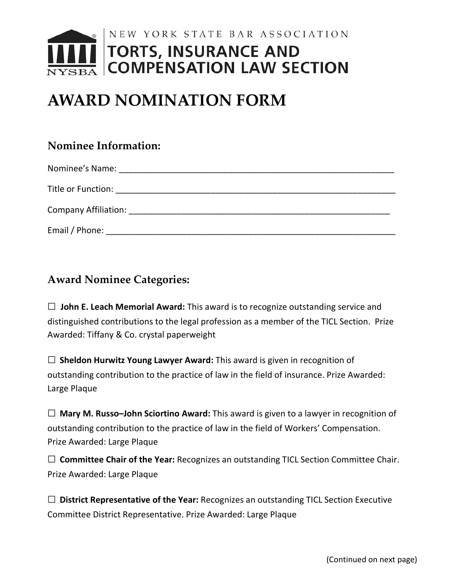

# **AWARD NOMINATION FORM**

## **Nominee Information:**

| Nominee's Name:             |
|-----------------------------|
| Title or Function:          |
| <b>Company Affiliation:</b> |
| Email / Phone:              |

# **Award Nominee Categories:**

□ **John E. Leach Memorial Award:** This award is to recognize outstanding service and distinguished contributions to the legal profession as a member of the TICL Section. Prize Awarded: Tiffany & Co. crystal paperweight

□ **Sheldon Hurwitz Young Lawyer Award:** This award is given in recognition of outstanding contribution to the practice of law in the field of insurance. Prize Awarded: Large Plaque

| $\Box$ Mary M. Russo-John Sciortino Award: This award is given to a lawyer in recognition of |
|----------------------------------------------------------------------------------------------|
| outstanding contribution to the practice of law in the field of Workers' Compensation.       |
| Prize Awarded: Large Plaque                                                                  |

□ **Committee Chair of the Year:** Recognizes an outstanding TICL Section Committee Chair. Prize Awarded: Large Plaque

| $\Box$ District Representative of the Year: Recognizes an outstanding TICL Section Executive |
|----------------------------------------------------------------------------------------------|
| Committee District Representative. Prize Awarded: Large Plaque                               |